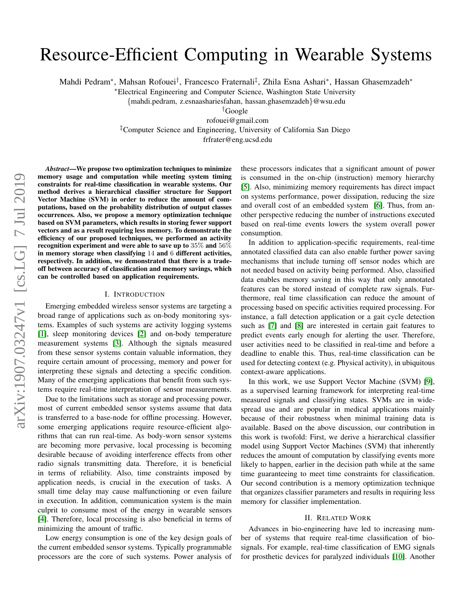# Resource-Efficient Computing in Wearable Systems

Mahdi Pedram\*, Mahsan Rofouei<sup>†</sup>, Francesco Fraternali<sup>‡</sup>, Zhila Esna Ashari\*, Hassan Ghasemzadeh\*

<sup>∗</sup>Electrical Engineering and Computer Science, Washington State University

{mahdi.pedram, z.esnaashariesfahan, hassan.ghasemzadeh}@wsu.edu

†Google

rofouei@gmail.com

‡Computer Science and Engineering, University of California San Diego

frfrater@eng.ucsd.edu

*Abstract*—We propose two optimization techniques to minimize memory usage and computation while meeting system timing constraints for real-time classification in wearable systems. Our method derives a hierarchical classifier structure for Support Vector Machine (SVM) in order to reduce the amount of computations, based on the probability distribution of output classes occurrences. Also, we propose a memory optimization technique based on SVM parameters, which results in storing fewer support vectors and as a result requiring less memory. To demonstrate the efficiency of our proposed techniques, we performed an activity recognition experiment and were able to save up to 35% and 56% in memory storage when classifying 14 and 6 different activities, respectively. In addition, we demonstrated that there is a tradeoff between accuracy of classification and memory savings, which can be controlled based on application requirements.

## I. INTRODUCTION

Emerging embedded wireless sensor systems are targeting a broad range of applications such as on-body monitoring systems. Examples of such systems are activity logging systems [\[1\]](#page-5-0), sleep monitoring devices [\[2\]](#page-5-1) and on-body temperature measurement systems [\[3\]](#page-5-2). Although the signals measured from these sensor systems contain valuable information, they require certain amount of processing, memory and power for interpreting these signals and detecting a specific condition. Many of the emerging applications that benefit from such systems require real-time interpretation of sensor measurements.

Due to the limitations such as storage and processing power, most of current embedded sensor systems assume that data is transferred to a base-node for offline processing. However, some emerging applications require resource-efficient algorithms that can run real-time. As body-worn sensor systems are becoming more pervasive, local processing is becoming desirable because of avoiding interference effects from other radio signals transmitting data. Therefore, it is beneficial in terms of reliability. Also, time constraints imposed by application needs, is crucial in the execution of tasks. A small time delay may cause malfunctioning or even failure in execution. In addition, communication system is the main culprit to consume most of the energy in wearable sensors [\[4\]](#page-5-3). Therefore, local processing is also beneficial in terms of minimizing the amount of traffic.

Low energy consumption is one of the key design goals of the current embedded sensor systems. Typically programmable processors are the core of such systems. Power analysis of these processors indicates that a significant amount of power is consumed in the on-chip (instruction) memory hierarchy [\[5\]](#page-5-4). Also, minimizing memory requirements has direct impact on systems performance, power dissipation, reducing the size and overall cost of an embedded system [\[6\]](#page-5-5). Thus, from another perspective reducing the number of instructions executed based on real-time events lowers the system overall power consumption.

In addition to application-specific requirements, real-time annotated classified data can also enable further power saving mechanisms that include turning off sensor nodes which are not needed based on activity being performed. Also, classified data enables memory saving in this way that only annotated features can be stored instead of complete raw signals. Furthermore, real time classification can reduce the amount of processing based on specific activities required processing. For instance, a fall detection application or a gait cycle detection such as [\[7\]](#page-5-6) and [\[8\]](#page-5-7) are interested in certain gait features to predict events early enough for alerting the user. Therefore, user activities need to be classified in real-time and before a deadline to enable this. Thus, real-time classification can be used for detecting context (e.g. Physical activity), in ubiquitous context-aware applications.

In this work, we use Support Vector Machine (SVM) [\[9\]](#page-5-8), as a supervised learning framework for interpreting real-time measured signals and classifying states. SVMs are in widespread use and are popular in medical applications mainly because of their robustness when minimal training data is available. Based on the above discussion, our contribution in this work is twofold: First, we derive a hierarchical classifier model using Support Vector Machines (SVM) that inherently reduces the amount of computation by classifying events more likely to happen, earlier in the decision path while at the same time guaranteeing to meet time constraints for classification. Our second contribution is a memory optimization technique that organizes classifier parameters and results in requiring less memory for classifier implementation.

# II. RELATED WORK

Advances in bio-engineering have led to increasing number of systems that require real-time classification of biosignals. For example, real-time classification of EMG signals for prosthetic devices for paralyzed individuals [\[10\]](#page-5-9). Another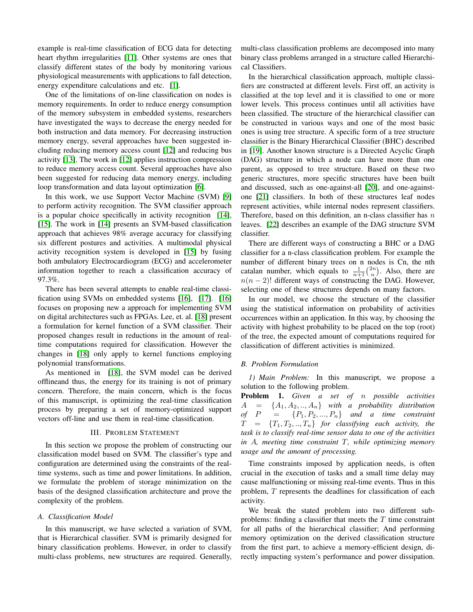example is real-time classification of ECG data for detecting heart rhythm irregularities [\[11\]](#page-5-10). Other systems are ones that classify different states of the body by monitoring various physiological measurements with applications to fall detection, energy expenditure calculations and etc. [\[1\]](#page-5-0).

One of the limitations of on-line classification on nodes is memory requirements. In order to reduce energy consumption of the memory subsystem in embedded systems, researchers have investigated the ways to decrease the energy needed for both instruction and data memory. For decreasing instruction memory energy, several approaches have been suggested including reducing memory access count [\[12\]](#page-5-11) and reducing bus activity [\[13\]](#page-5-12). The work in [\[12\]](#page-5-11) applies instruction compression to reduce memory access count. Several approaches have also been suggested for reducing data memory energy, including loop transformation and data layout optimization [\[6\]](#page-5-5).

In this work, we use Support Vector Machine (SVM) [\[9\]](#page-5-8) to perform activity recognition. The SVM classifier approach is a popular choice specifically in activity recognition [\[14\]](#page-5-13), [\[15\]](#page-5-14). The work in [\[14\]](#page-5-13) presents an SVM-based classification approach that achieves 98% average accuracy for classifying six different postures and activities. A multimodal physical activity recognition system is developed in [\[15\]](#page-5-14) by fusing both ambulatory Electrocardiogram (ECG) and accelerometer information together to reach a classification accuracy of 97.3%.

There has been several attempts to enable real-time classification using SVMs on embedded systems [\[16\]](#page-5-15), [\[17\]](#page-5-16). [\[16\]](#page-5-15) focuses on proposing new a approach for implementing SVM on digital architectures such as FPGAs. Lee, et. al. [\[18\]](#page-5-17) present a formulation for kernel function of a SVM classifier. Their proposed changes result in reductions in the amount of realtime computations required for classification. However the changes in [\[18\]](#page-5-17) only apply to kernel functions employing polynomial transformations.

As mentioned in [\[18\]](#page-5-17), the SVM model can be derived offlineand thus, the energy for its training is not of primary concern. Therefore, the main concern, which is the focus of this manuscript, is optimizing the real-time classification process by preparing a set of memory-optimized support vectors off-line and use them in real-time classification.

# III. PROBLEM STATEMENT

In this section we propose the problem of constructing our classification model based on SVM. The classifier's type and configuration are determined using the constraints of the realtime systems, such as time and power limitations. In addition, we formulate the problem of storage minimization on the basis of the designed classification architecture and prove the complexity of the problem.

## *A. Classification Model*

In this manuscript, we have selected a variation of SVM, that is Hierarchical classifier. SVM is primarily designed for binary classification problems. However, in order to classify multi-class problems, new structures are required. Generally, multi-class classification problems are decomposed into many binary class problems arranged in a structure called Hierarchical Classifiers.

In the hierarchical classification approach, multiple classifiers are constructed at different levels. First off, an activity is classified at the top level and it is classified to one or more lower levels. This process continues until all activities have been classified. The structure of the hierarchical classifier can be constructed in various ways and one of the most basic ones is using tree structure. A specific form of a tree structure classifier is the Binary Hierarchical Classifier (BHC) described in [\[19\]](#page-5-18). Another known structure is a Directed Acyclic Graph (DAG) structure in which a node can have more than one parent, as opposed to tree structure. Based on these two generic structures, more specific structures have been built and discussed, such as one-against-all [\[20\]](#page-5-19), and one-againstone [\[21\]](#page-5-20) classifiers. In both of these structures leaf nodes represent activities, while internal nodes represent classifiers. Therefore, based on this definition, an n-class classifier has  $n$ leaves. [\[22\]](#page-5-21) describes an example of the DAG structure SVM classifier.

There are different ways of constructing a BHC or a DAG classifier for a n-class classification problem. For example the number of different binary trees on n nodes is Cn, the nth catalan number, which equals to  $\frac{1}{n+1} \binom{2n}{n}$ . Also, there are  $n(n-2)!$  different ways of constructing the DAG. However, selecting one of these structures depends on many factors.

In our model, we choose the structure of the classifier using the statistical information on probability of activities occurrences within an application. In this way, by choosing the activity with highest probability to be placed on the top (root) of the tree, the expected amount of computations required for classification of different activities is minimized.

# *B. Problem Formulation*

*1) Main Problem:* In this manuscript, we propose a solution to the following problem.

Problem 1. *Given a set of* n *possible activities*  $A = \{A_1, A_2, ..., A_n\}$  with a probability distribution *of*  $P = \{P_1, P_2, ..., P_n\}$  *and a time constraint*  $T = \{T_1, T_2, ..., T_n\}$  *for classifying each activity, the task is to classify real-time sensor data to one of the activities in* A*, meeting time constraint* T*, while optimizing memory usage and the amount of processing.*

Time constraints imposed by application needs, is often crucial in the execution of tasks and a small time delay may cause malfunctioning or missing real-time events. Thus in this problem, T represents the deadlines for classification of each activity.

We break the stated problem into two different subproblems: finding a classifier that meets the  $T$  time constraint for all paths of the hierarchical classifier; And performing memory optimization on the derived classification structure from the first part, to achieve a memory-efficient design, directly impacting system's performance and power dissipation.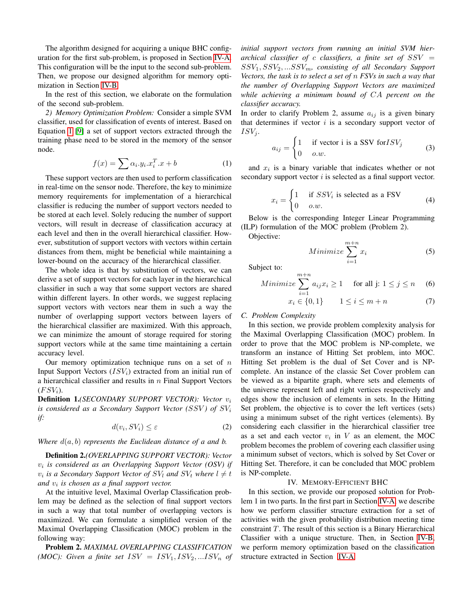The algorithm designed for acquiring a unique BHC configuration for the first sub-problem, is proposed in Section [IV-A.](#page-3-0) This configuration will be the input to the second sub-problem. Then, we propose our designed algorithm for memory optimization in Section [IV-B.](#page-3-1)

In the rest of this section, we elaborate on the formulation of the second sub-problem.

*2) Memory Optimization Problem:* Consider a simple SVM classifier, used for classification of events of interest. Based on Equation [1](#page-2-0) [\[9\]](#page-5-8) a set of support vectors extracted through the training phase need to be stored in the memory of the sensor node.

$$
f(x) = \sum \alpha_i y_i x_i^T x + b \tag{1}
$$

<span id="page-2-0"></span>These support vectors are then used to perform classification in real-time on the sensor node. Therefore, the key to minimize memory requirements for implementation of a hierarchical classifier is reducing the number of support vectors needed to be stored at each level. Solely reducing the number of support vectors, will result in decrease of classification accuracy at each level and then in the overall hierarchical classifier. However, substitution of support vectors with vectors within certain distances from them, might be beneficial while maintaining a lower-bound on the accuracy of the hierarchical classifier.

The whole idea is that by substitution of vectors, we can derive a set of support vectors for each layer in the hierarchical classifier in such a way that some support vectors are shared within different layers. In other words, we suggest replacing support vectors with vectors near them in such a way the number of overlapping support vectors between layers of the hierarchical classifier are maximized. With this approach, we can minimize the amount of storage required for storing support vectors while at the same time maintaining a certain accuracy level.

Our memory optimization technique runs on a set of  $n$ Input Support Vectors  $(ISV_i)$  extracted from an initial run of a hierarchical classifier and results in  $n$  Final Support Vectors  $(FSV_i)$ .

Definition 1.*(SECONDARY SUPPORT VECTOR): Vector* v<sup>i</sup> *is considered as a Secondary Support Vector (*SSV *) of* SV<sup>i</sup> *if:*

$$
d(v_i, SV_i) \le \varepsilon \tag{2}
$$

*Where* d(a, b) *represents the Euclidean distance of a and b.*

Definition 2.*(OVERLAPPING SUPPORT VECTOR): Vector* vi *is considered as an Overlapping Support Vector (OSV) if*  $v_i$  is a Secondary Support Vector of  $SV_l$  and  $SV_t$  where  $l \neq t$ and  $v_i$  is chosen as a final support vector.

At the intuitive level, Maximal Overlap Classification problem may be defined as the selection of final support vectors in such a way that total number of overlapping vectors is maximized. We can formulate a simplified version of the Maximal Overlapping Classification (MOC) problem in the following way:

Problem 2. *MAXIMAL OVERLAPPING CLASSIFICATION (MOC): Given a finite set*  $ISV = ISV_1, ISV_2, ... ISV_n$  of *initial support vectors from running an initial SVM hierarchical classifier of* c *classifiers, a finite set of* SSV = SSV1, SSV2, ...SSVm*, consisting of all Secondary Support Vectors, the task is to select a set of* n *FSVs in such a way that the number of Overlapping Support Vectors are maximized while achieving a minimum bound of* CA *percent on the classifier accuracy.*

In order to clarify Problem 2, assume  $a_{ij}$  is a given binary that determines if vector  $i$  is a secondary support vector of  $ISV_i$ .

$$
a_{ij} = \begin{cases} 1 & \text{if vector i is a SSV for } ISV_j \\ 0 & o.w. \end{cases}
$$
 (3)

and  $x_i$  is a binary variable that indicates whether or not secondary support vector  $i$  is selected as a final support vector.

$$
x_i = \begin{cases} 1 & \text{if } SSV_i \text{ is selected as a FSV} \\ 0 & o.w. \end{cases}
$$
 (4)

Below is the corresponding Integer Linear Programming (ILP) formulation of the MOC problem (Problem 2).

Objective:

Minimize 
$$
\sum_{i=1}^{m+n} x_i
$$
 (5)

Subject to:

Minimize 
$$
\sum_{i=1}^{m+n} a_{ij} x_i \ge 1 \quad \text{for all } j: 1 \le j \le n \quad (6)
$$

$$
x_i \in \{0, 1\} \qquad 1 \le i \le m + n \tag{7}
$$

## *C. Problem Complexity*

In this section, we provide problem complexity analysis for the Maximal Overlapping Classification (MOC) problem. In order to prove that the MOC problem is NP-complete, we transform an instance of Hitting Set problem, into MOC. Hitting Set problem is the dual of Set Cover and is NPcomplete. An instance of the classic Set Cover problem can be viewed as a bipartite graph, where sets and elements of the universe represent left and right vertices respectively and edges show the inclusion of elements in sets. In the Hitting Set problem, the objective is to cover the left vertices (sets) using a minimum subset of the right vertices (elements). By considering each classifier in the hierarchical classifier tree as a set and each vector  $v_i$  in V as an element, the MOC problem becomes the problem of covering each classifier using a minimum subset of vectors, which is solved by Set Cover or Hitting Set. Therefore, it can be concluded that MOC problem is NP-complete.

## IV. MEMORY-EFFICIENT BHC

In this section, we provide our proposed solution for Problem 1 in two parts. In the first part in Section [IV-A,](#page-3-0) we describe how we perform classifier structure extraction for a set of activities with the given probability distribution meeting time constraint  $T$ . The result of this section is a Binary Hierarchical Classifier with a unique structure. Then, in Section [IV-B,](#page-3-1) we perform memory optimization based on the classification structure extracted in Section [IV-A.](#page-3-0)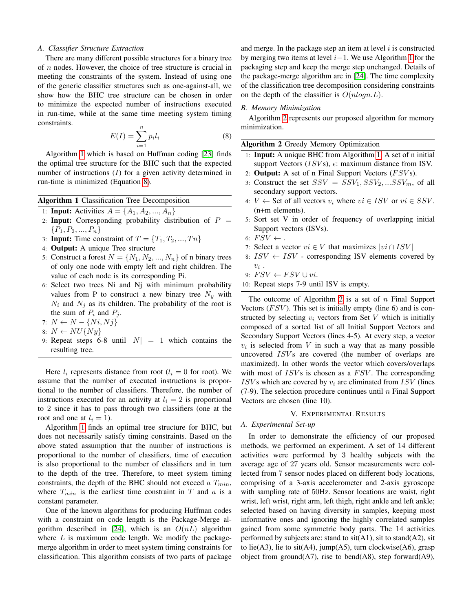## <span id="page-3-0"></span>*A. Classifier Structure Extraction*

There are many different possible structures for a binary tree of  $n$  nodes. However, the choice of tree structure is crucial in meeting the constraints of the system. Instead of using one of the generic classifier structures such as one-against-all, we show how the BHC tree structure can be chosen in order to minimize the expected number of instructions executed in run-time, while at the same time meeting system timing constraints.

$$
E(I) = \sum_{i=1}^{n} p_i l_i
$$
 (8)

<span id="page-3-3"></span>Algorithm [1](#page-3-2) which is based on Huffman coding [\[23\]](#page-5-22) finds the optimal tree structure for the BHC such that the expected number of instructions  $(I)$  for a given activity determined in run-time is minimized (Equation [8\)](#page-3-3).

<span id="page-3-2"></span>Algorithm 1 Classification Tree Decomposition

- 1: **Input:** Activities  $A = \{A_1, A_2, ..., A_n\}$
- 2: Input: Corresponding probability distribution of  $P =$  $\{P_1, P_2, ..., P_n\}$
- 3: **Input:** Time constraint of  $T = \{T_1, T_2, ..., T_n\}$
- 4: Output: A unique Tree structure
- 5: Construct a forest  $N = \{N_1, N_2, ..., N_n\}$  of n binary trees of only one node with empty left and right children. The value of each node is its corresponding Pi.
- 6: Select two trees Ni and Nj with minimum probability values from P to construct a new binary tree  $N_y$  with  $N_i$  and  $N_j$  as its children. The probability of the root is the sum of  $P_i$  and  $P_j$ .
- 7:  $N \leftarrow N \{Ni, Nj\}$
- 8:  $N \leftarrow N U \{ N y \}$
- 9: Repeat steps 6-8 until  $|N| = 1$  which contains the resulting tree.

Here  $l_i$  represents distance from root ( $l_i = 0$  for root). We assume that the number of executed instructions is proportional to the number of classifiers. Therefore, the number of instructions executed for an activity at  $l_i = 2$  is proportional to 2 since it has to pass through two classifiers (one at the root and one at  $l_i = 1$ ).

Algorithm [1](#page-3-2) finds an optimal tree structure for BHC, but does not necessarily satisfy timing constraints. Based on the above stated assumption that the number of instructions is proportional to the number of classifiers, time of execution is also proportional to the number of classifiers and in turn to the depth of the tree. Therefore, to meet system timing constraints, the depth of the BHC should not exceed a  $T_{min}$ , where  $T_{min}$  is the earliest time constraint in  $T$  and  $a$  is a constant parameter.

One of the known algorithms for producing Huffman codes with a constraint on code length is the Package-Merge al-gorithm described in [\[24\]](#page-5-23), which is an  $O(nL)$  algorithm where  $L$  is maximum code length. We modify the packagemerge algorithm in order to meet system timing constraints for classification. This algorithm consists of two parts of package

and merge. In the package step an item at level  $i$  is constructed by merging two items at level i−1. We use Algorithm [1](#page-3-2) for the packaging step and keep the merge step unchanged. Details of the package-merge algorithm are in [\[24\]](#page-5-23). The time complexity of the classification tree decomposition considering constraints on the depth of the classifier is  $O(n \log n L)$ .

#### <span id="page-3-1"></span>*B. Memory Minimization*

Algorithm [2](#page-3-4) represents our proposed algorithm for memory minimization.

# <span id="page-3-4"></span>Algorithm 2 Greedy Memory Optimization

- 1: Input: A unique BHC from Algorithm [1,](#page-3-2) A set of n initial support Vectors ( $ISVs$ ),  $\epsilon$ : maximum distance from ISV.
- 2: **Output:** A set of n Final Support Vectors  $(FSVs)$ .
- 3: Construct the set  $SSV = SSV_1, SSV_2, ... SSV_m$ , of all secondary support vectors.
- 4:  $V \leftarrow$  Set of all vectors  $v_i$  where  $vi \in ISV$  or  $vi \in SSV$ . (n+m elements).
- 5: Sort set V in order of frequency of overlapping initial Support vectors (ISVs).
- 6:  $FSV \leftarrow$ .
- 7: Select a vector  $vi \in V$  that maximizes  $|vi \cap ISV|$
- 8:  $ISV \leftarrow ISV$  corresponding ISV elements covered by  $v_i$ .
- 9:  $FSV \leftarrow FSV \cup vi$ .
- 10: Repeat steps 7-9 until ISV is empty.

The outcome of Algorithm [2](#page-3-4) is a set of  $n$  Final Support Vectors  $(FSV)$ . This set is initially empty (line 6) and is constructed by selecting  $v_i$  vectors from Set V which is initially composed of a sorted list of all Initial Support Vectors and Secondary Support Vectors (lines 4-5). At every step, a vector  $v_i$  is selected from V in such a way that as many possible uncovered ISVs are covered (the number of overlaps are maximized). In other words the vector which covers/overlaps with most of  $ISVs$  is chosen as a  $FSV$ . The corresponding  $ISVs$  which are covered by  $v_i$  are eliminated from  $ISV$  (lines (7-9). The selection procedure continues until  $n$  Final Support Vectors are chosen (line 10).

# V. EXPERIMENTAL RESULTS

# *A. Experimental Set-up*

In order to demonstrate the efficiency of our proposed methods, we performed an experiment. A set of 14 different activities were performed by 3 healthy subjects with the average age of 27 years old. Sensor measurements were collected from 7 sensor nodes placed on different body locations, comprising of a 3-axis accelerometer and 2-axis gyroscope with sampling rate of 50Hz. Sensor locations are waist, right wrist, left wrist, right arm, left thigh, right ankle and left ankle; selected based on having diversity in samples, keeping most informative ones and ignoring the highly correlated samples gained from some symmetric body parts. The 14 activities performed by subjects are: stand to  $sit(A1)$ , sit to stand $(A2)$ , sit to lie(A3), lie to sit(A4), jump(A5), turn clockwise(A6), grasp object from ground(A7), rise to bend(A8), step forward(A9),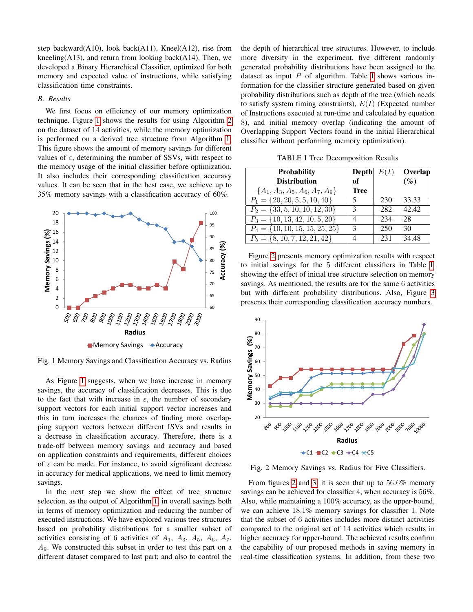step backward(A10), look back(A11), Kneel(A12), rise from kneeling( $A13$ ), and return from looking back( $A14$ ). Then, we developed a Binary Hierarchical Classifier, optimized for both memory and expected value of instructions, while satisfying classification time constraints.

## *B. Results*

We first focus on efficiency of our memory optimization technique. Figure [1](#page-4-0) shows the results for using Algorithm [2](#page-3-4) on the dataset of 14 activities, while the memory optimization is performed on a derived tree structure from Algorithm [1.](#page-3-2) This figure shows the amount of memory savings for different values of  $\varepsilon$ , determining the number of SSVs, with respect to the memory usage of the initial classifier before optimization. It also includes their corresponding classification accuravy values. It can be seen that in the best case, we achieve up to 35% memory savings with a classification accuracy of 60%.

<span id="page-4-0"></span>

Fig. 1 Memory Savings and Classification Accuracy vs. Radius

As Figure [1](#page-4-0) suggests, when we have increase in memory savings, the accuracy of classification decreases. This is due to the fact that with increase in  $\varepsilon$ , the number of secondary support vectors for each initial support vector increases and this in turn increases the chances of finding more overlapping support vectors between different ISVs and results in a decrease in classification accuracy. Therefore, there is a trade-off between memory savings and accuracy and based on application constraints and requirements, different choices of  $\varepsilon$  can be made. For instance, to avoid significant decrease in accuracy for medical applications, we need to limit memory savings.

In the next step we show the effect of tree structure selection, as the output of Algorithm [1,](#page-3-2) in overall savings both in terms of memory optimization and reducing the number of executed instructions. We have explored various tree structures based on probability distributions for a smaller subset of activities consisting of 6 activities of  $A_1$ ,  $A_3$ ,  $A_5$ ,  $A_6$ ,  $A_7$ , A9. We constructed this subset in order to test this part on a different dataset compared to last part; and also to control the the depth of hierarchical tree structures. However, to include more diversity in the experiment, five different randomly generated probability distributions have been assigned to the dataset as input  $P$  of algorithm. Table [I](#page-4-1) shows various information for the classifier structure generated based on given probability distributions such as depth of the tree (which needs to satisfy system timing constraints),  $E(I)$  (Expected number of Instructions executed at run-time and calculated by equation 8), and initial memory overlap (indicating the amount of Overlapping Support Vectors found in the initial Hierarchical classifier without performing memory optimization).

TABLE I Tree Decomposition Results

<span id="page-4-1"></span>

| <b>Probability</b>                 | <b>Depth</b> | E(I) | Overlap |
|------------------------------------|--------------|------|---------|
| <b>Distribution</b>                | of           |      | $(\%)$  |
| $\{A_1, A_3, A_5, A_6, A_7, A_9\}$ | <b>Tree</b>  |      |         |
| $P_1 = \{20, 20, 5, 5, 10, 40\}$   | 5            | 230  | 33.33   |
| $P_2 = \{33, 5, 10, 10, 12, 30\}$  | 3            | 282  | 42.42   |
| $P_3 = \{10, 13, 42, 10, 5, 20\}$  | 4            | 234  | 28      |
| $P_4 = \{10, 10, 15, 15, 25, 25\}$ | 3            | 250  | 30      |
| $P_5 = \{8, 10, 7, 12, 21, 42\}$   |              | 231  | 34.48   |

Figure [2](#page-4-2) presents memory optimization results with respect to initial savings for the 5 different classifiers in Table [I,](#page-4-1) showing the effect of initial tree structure selection on memory savings. As mentioned, the results are for the same 6 activities but with different probability distributions. Also, Figure [3](#page-5-24) presents their corresponding classification accuracy numbers.

<span id="page-4-2"></span>

Fig. 2 Memory Savings vs. Radius for Five Classifiers.

From figures [2](#page-4-2) and [3,](#page-5-24) it is seen that up to 56.6% memory savings can be achieved for classifier 4, when accuracy is 56%. Also, while maintaining a 100% accuracy, as the upper-bound, we can achieve 18.1% memory savings for classifier 1. Note that the subset of 6 activities includes more distinct activities compared to the original set of 14 activities which results in higher accuracy for upper-bound. The achieved results confirm the capability of our proposed methods in saving memory in real-time classification systems. In addition, from these two